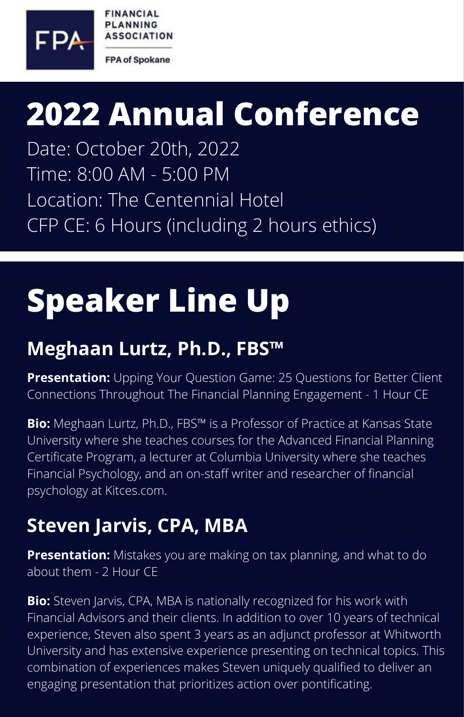

**FINANCIAL PLANNING ASSOCIATION** 

**FPA of Spokane** 

## **2022 Annual Conference**

Date: October 20th, 2022 Time: 8:00 AM - 5:00 PM Location: The Centennial Hotel CFP CE: 6 Hours (including 2 hours ethics)

# **Speaker Line Up**

#### **Meghaan Lurtz, Ph.D., FBS™**

**Presentation:** Upping Your Question Game: 25 Questions for Better Client Connections Throughout The Financial Planning Engagement - 1 Hour CE

**Bio:** Meghaan Lurtz, Ph.D., FBS™ is a Professor of Practice at Kansas State University where she teaches courses for the Advanced Financial Planning Certificate Program, a lecturer at Columbia University where she teaches Financial Psychology, and an on-staff writer and researcher of financial psychology at [Kitces.com](http://kitces.com/).

### **Steven Jarvis, CPA, MBA**

**Presentation:** Mistakes you are making on tax planning, and what to do about them - 2 Hour CE

**Bio:** Steven Jarvis, CPA, MBA is nationally recognized for his work with Financial Advisors and their clients. In addition to over 10 years of technical experience, Steven also spent 3 years as an adjunct professor at Whitworth University and has extensive experience presenting on technical topics. This combination of experiences makes Steven uniquely qualified to deliver an engaging presentation that prioritizes action over pontificating.